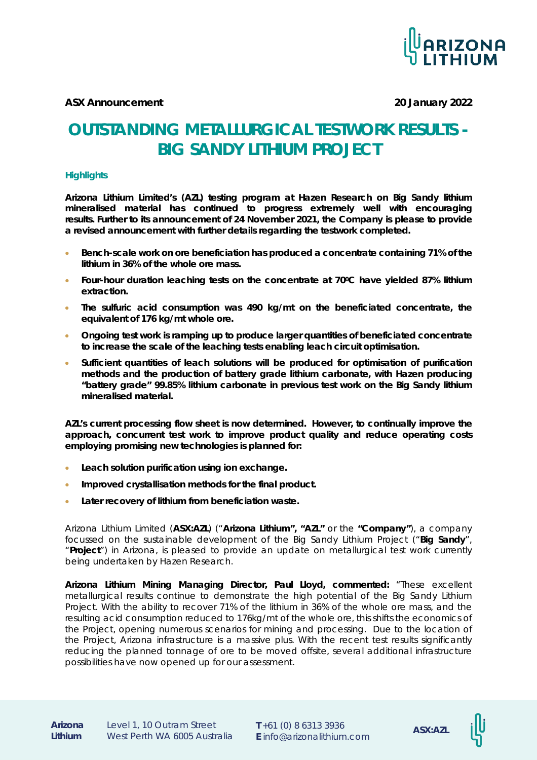

**ASX Announcement 20 January 2022**

# **OUTSTANDING METALLURGICAL TESTWORK RESULTS - BIG SANDY LITHIUM PROJECT**

#### **Highlights**

**Arizona Lithium Limited's (AZL) testing program at Hazen Research on Big Sandy lithium mineralised material has continued to progress extremely well with encouraging results. Further to its announcement of 24 November 2021, the Company is please to provide a revised announcement with further details regarding the testwork completed.**

- **Bench-scale work on ore beneficiation has produced a concentrate containing 71% of the lithium in 36% of the whole ore mass.**
- **Four-hour duration leaching tests on the concentrate at 700C have yielded 87% lithium extraction.**
- **The sulfuric acid consumption was 490 kg/mt on the beneficiated concentrate, the equivalent of 176 kg/mt whole ore.**
- **Ongoing test work is ramping up to produce larger quantities of beneficiated concentrate to increase the scale of the leaching tests enabling leach circuit optimisation.**
- **Sufficient quantities of leach solutions will be produced for optimisation of purification methods and the production of battery grade lithium carbonate, with Hazen producing "battery grade" 99.85% lithium carbonate in previous test work on the Big Sandy lithium mineralised material.**

**AZL's current processing flow sheet is now determined. However, to continually improve the approach, concurrent test work to improve product quality and reduce operating costs employing promising new technologies is planned for:**

- **Leach solution purification using ion exchange.**
- **Improved crystallisation methods for the final product.**
- **Later recovery of lithium from beneficiation waste.**

Arizona Lithium Limited (**ASX:AZL**) ("**Arizona Lithium", "AZL"** or the **"Company"**), a company focussed on the sustainable development of the Big Sandy Lithium Project ("**Big Sandy**", "**Project**") in Arizona, is pleased to provide an update on metallurgical test work currently being undertaken by Hazen Research.

**Arizona Lithium Mining Managing Director, Paul Lloyd, commented:** *"These excellent metallurgical results continue to demonstrate the high potential of the Big Sandy Lithium Project. With the ability to recover 71% of the lithium in 36% of the whole ore mass, and the resulting acid consumption reduced to 176kg/mt of the whole ore, this shifts the economics of the Project, opening numerous scenarios for mining and processing. Due to the location of the Project, Arizona infrastructure is a massive plus. With the recent test results significantly reducing the planned tonnage of ore to be moved offsite, several additional infrastructure possibilities have now opened up for our assessment.* 

**<sup>E</sup>** info@arizonalithium.com **ASX:AZL Arizona**  Level 1, 10 Outram Street **Lithium** West Perth WA 6005 Australia

**T** +61 (0) 8 6313 3936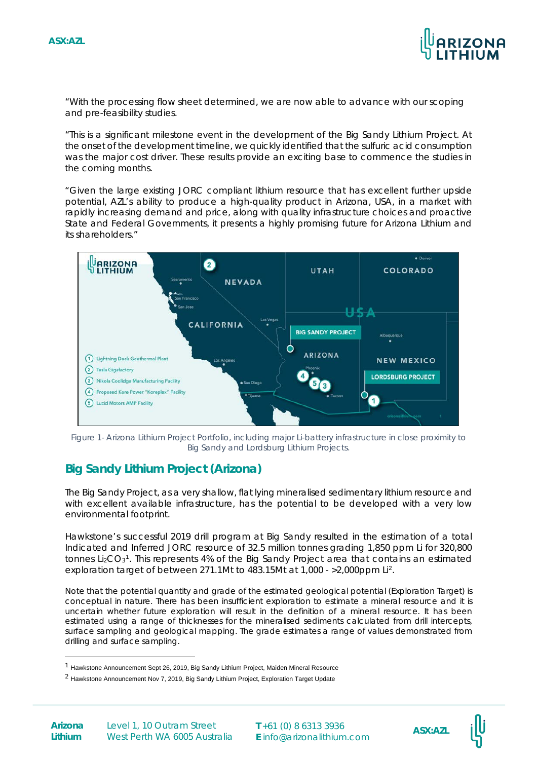

*"With the processing flow sheet determined, we are now able to advance with our scoping and pre-feasibility studies.*

*"This is a significant milestone event in the development of the Big Sandy Lithium Project. At the onset of the development timeline, we quickly identified that the sulfuric acid consumption was the major cost driver. These results provide an exciting base to commence the studies in the coming months.*

*"Given the large existing JORC compliant lithium resource that has excellent further upside potential, AZL's ability to produce a high-quality product in Arizona, USA, in a market with rapidly increasing demand and price, along with quality infrastructure choices and proactive State and Federal Governments, it presents a highly promising future for Arizona Lithium and its shareholders."*



*Figure 1- Arizona Lithium Project Portfolio, including major Li-battery infrastructure in close proximity to Big Sandy and Lordsburg Lithium Projects.*

# **Big Sandy Lithium Project (Arizona)**

The Big Sandy Project, as a very shallow, flat lying mineralised sedimentary lithium resource and with excellent available infrastructure, has the potential to be developed with a very low environmental footprint.

Hawkstone's successful 2019 drill program at Big Sandy resulted in the estimation of a total Indicated and Inferred JORC resource of 32.5 million tonnes grading 1,850 ppm Li for 320,800 tonnes Li<sub>2</sub>CO<sub>3</sub><sup>[1](#page-1-0)</sup>. This represents 4% of the Big Sandy Project area that contains an estimated exploration target of between 271.1Mt to 483.15Mt at 1,000 - >2,000ppm Li[2](#page-1-1).

*Note that the potential quantity and grade of the estimated geological potential (Exploration Target) is conceptual in nature. There has been insufficient exploration to estimate a mineral resource and it is uncertain whether future exploration will result in the definition of a mineral resource. It has been estimated using a range of thicknesses for the mineralised sediments calculated from drill intercepts, surface sampling and geological mapping. The grade estimates a range of values demonstrated from drilling and surface sampling.*



<span id="page-1-0"></span><sup>1</sup> Hawkstone Announcement Sept 26, 2019, Big Sandy Lithium Project, Maiden Mineral Resource

<span id="page-1-1"></span><sup>2</sup> Hawkstone Announcement Nov 7, 2019, Big Sandy Lithium Project, Exploration Target Update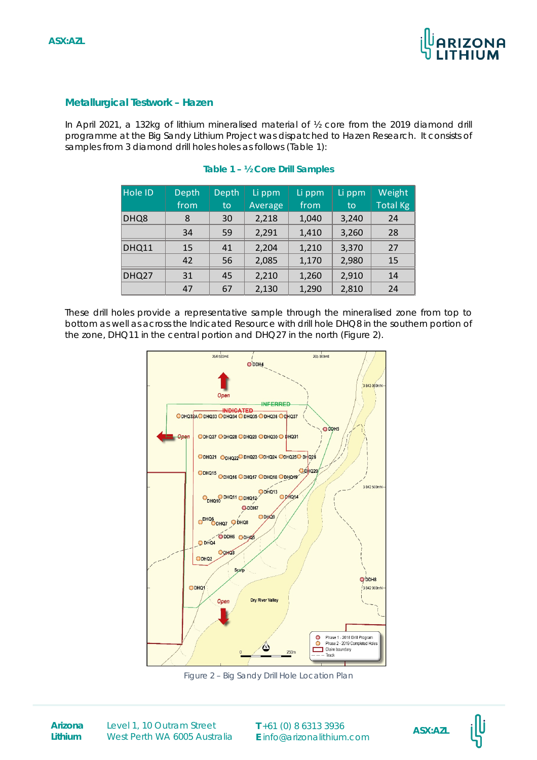

## **Metallurgical Testwork – Hazen**

In April 2021, a 132kg of lithium mineralised material of ½ core from the 2019 diamond drill programme at the Big Sandy Lithium Project was dispatched to Hazen Research. It consists of samples from 3 diamond drill holes holes as follows (Table 1):

| <b>Hole ID</b> | Depth | Depth | Li ppm  | Li ppm | Li ppm | Weight          |
|----------------|-------|-------|---------|--------|--------|-----------------|
|                | from  | to    | Average | from   | to     | <b>Total Kg</b> |
| DHQ8           | 8     | 30    | 2,218   | 1,040  | 3,240  | 24              |
|                | 34    | 59    | 2,291   | 1,410  | 3,260  | 28              |
| DHQ11          | 15    | 41    | 2,204   | 1,210  | 3,370  | 27              |
|                | 42    | 56    | 2,085   | 1,170  | 2,980  | 15              |
| DHQ27          | 31    | 45    | 2,210   | 1,260  | 2,910  | 14              |
|                | 47    | 67    | 2,130   | 1,290  | 2,810  | 24              |

### **Table 1 – ½ Core Drill Samples**

These drill holes provide a representative sample through the mineralised zone from top to bottom as well as across the Indicated Resource with drill hole DHQ8 in the southern portion of the zone, DHQ11 in the central portion and DHQ27 in the north (Figure 2).



*Figure 2 – Big Sandy Drill Hole Location Plan* 

**Lithium**

**Arizona** Level 1, 10 Outram Street **T** +61 (0) 8 6313 3936 **ASX:AZL**<br> **ASX:AZL** West Perth WA 6005 Australia

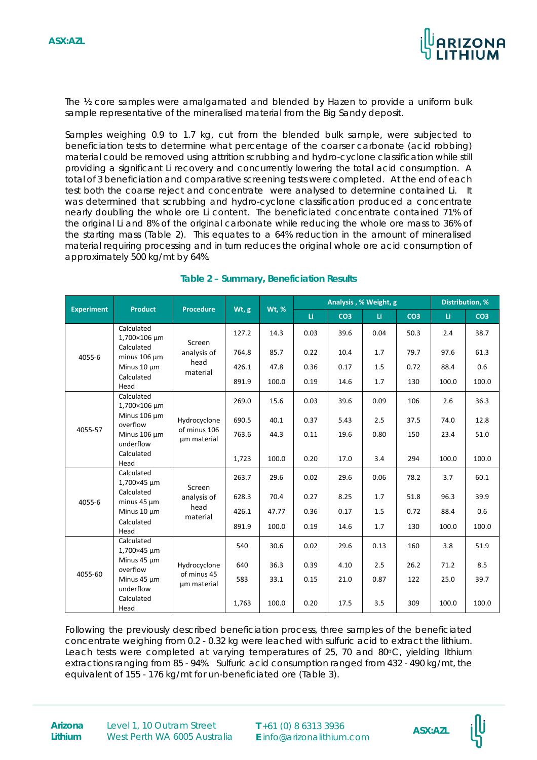

The ½ core samples were amalgamated and blended by Hazen to provide a uniform bulk sample representative of the mineralised material from the Big Sandy deposit.

Samples weighing 0.9 to 1.7 kg, cut from the blended bulk sample, were subjected to beneficiation tests to determine what percentage of the coarser carbonate (acid robbing) material could be removed using attrition scrubbing and hydro-cyclone classification while still providing a significant Li recovery and concurrently lowering the total acid consumption. A total of 3 beneficiation and comparative screening tests were completed. At the end of each test both the coarse reject and concentrate were analysed to determine contained Li. It was determined that scrubbing and hydro-cyclone classification produced a concentrate nearly doubling the whole ore Li content. The beneficiated concentrate contained 71% of the original Li and 8% of the original carbonate while reducing the whole ore mass to 36% of the starting mass (Table 2). This equates to a 64% reduction in the amount of mineralised material requiring processing and in turn reduces the original whole ore acid consumption of approximately 500 kg/mt by 64%.

|                                      |                                |                            |       |              | Analysis, % Weight, g |                 |      | Distribution, % |       |                 |
|--------------------------------------|--------------------------------|----------------------------|-------|--------------|-----------------------|-----------------|------|-----------------|-------|-----------------|
| <b>Experiment</b>                    | <b>Product</b>                 | <b>Procedure</b>           | Wt, g | <b>Wt, %</b> | Li.                   | CO <sub>3</sub> | Li.  | CO <sub>3</sub> | Li    | CO <sub>3</sub> |
|                                      | Calculated<br>1,700×106 um     | Screen                     | 127.2 | 14.3         | 0.03                  | 39.6            | 0.04 | 50.3            | 2.4   | 38.7            |
| 4055-6                               | Calculated<br>minus 106 um     | analysis of                | 764.8 | 85.7         | 0.22                  | 10.4            | 1.7  | 79.7            | 97.6  | 61.3            |
|                                      | Minus 10 µm                    | head<br>material           | 426.1 | 47.8         | 0.36                  | 0.17            | 1.5  | 0.72            | 88.4  | 0.6             |
|                                      | Calculated<br>Head             |                            | 891.9 | 100.0        | 0.19                  | 14.6            | 1.7  | 130             | 100.0 | 100.0           |
|                                      | Calculated<br>1,700×106 µm     |                            | 269.0 | 15.6         | 0.03                  | 39.6            | 0.09 | 106             | 2.6   | 36.3            |
|                                      | Minus 106 um<br>overflow       | Hydrocyclone               | 690.5 | 40.1         | 0.37                  | 5.43            | 2.5  | 37.5            | 74.0  | 12.8            |
| 4055-57<br>Minus 106 µm<br>underflow | of minus 106<br>um material    | 763.6                      | 44.3  | 0.11         | 19.6                  | 0.80            | 150  | 23.4            | 51.0  |                 |
|                                      | Calculated<br>Head             |                            | 1,723 | 100.0        | 0.20                  | 17.0            | 3.4  | 294             | 100.0 | 100.0           |
|                                      | Calculated<br>1,700×45 µm      | Screen                     | 263.7 | 29.6         | 0.02                  | 29.6            | 0.06 | 78.2            | 3.7   | 60.1            |
| 4055-6                               | Calculated<br>minus $45 \mu m$ | analysis of                | 628.3 | 70.4         | 0.27                  | 8.25            | 1.7  | 51.8            | 96.3  | 39.9            |
|                                      | Minus 10 µm                    | head<br>material           | 426.1 | 47.77        | 0.36                  | 0.17            | 1.5  | 0.72            | 88.4  | 0.6             |
| Calculated<br>Head                   |                                | 891.9                      | 100.0 | 0.19         | 14.6                  | 1.7             | 130  | 100.0           | 100.0 |                 |
|                                      | Calculated<br>1,700×45 µm      |                            | 540   | 30.6         | 0.02                  | 29.6            | 0.13 | 160             | 3.8   | 51.9            |
|                                      | Minus 45 µm<br>overflow        | Hydrocyclone               | 640   | 36.3         | 0.39                  | 4.10            | 2.5  | 26.2            | 71.2  | 8.5             |
| 4055-60                              | Minus 45 µm<br>underflow       | of minus 45<br>um material | 583   | 33.1         | 0.15                  | 21.0            | 0.87 | 122             | 25.0  | 39.7            |
|                                      | Calculated<br>Head             |                            | 1,763 | 100.0        | 0.20                  | 17.5            | 3.5  | 309             | 100.0 | 100.0           |

# **Table 2 – Summary, Beneficiation Results**

Following the previously described beneficiation process, three samples of the beneficiated concentrate weighing from 0.2 - 0.32 kg were leached with sulfuric acid to extract the lithium. Leach tests were completed at varying temperatures of 25, 70 and 80 $\degree$ C, yielding lithium extractions ranging from 85 - 94%. Sulfuric acid consumption ranged from 432 - 490 kg/mt, the equivalent of 155 - 176 kg/mt for un-beneficiated ore (Table 3).

**Lithium**

**Arizona** Level 1, 10 Outram Street **T** +61 (0) 8 6313 3936 **ASX:AZL**<br> **ASX:AZL** West Perth WA 6005 Australia

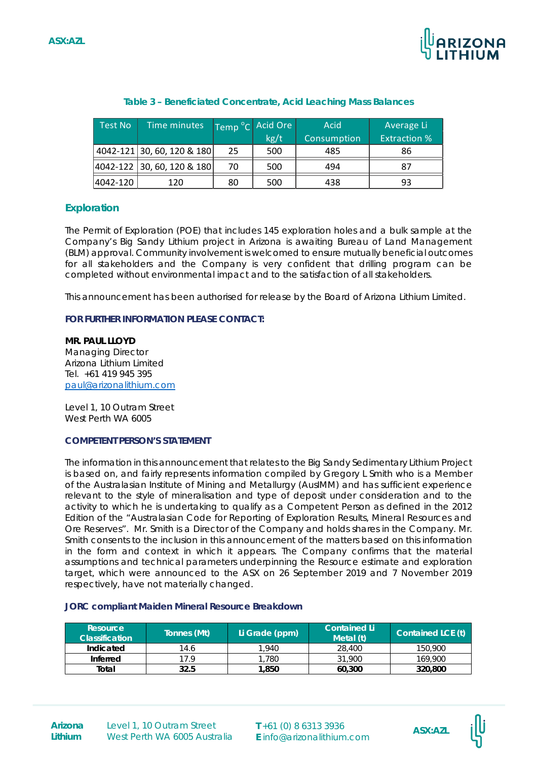

| Test No  | Time minutes                |    | Temp °C Acid Ore | Acid        | Average Li          |
|----------|-----------------------------|----|------------------|-------------|---------------------|
|          |                             |    | kg/t             | Consumption | <b>Extraction %</b> |
|          | 4042-121 30, 60, 120 & 180  | 25 | 500              | 485         | 86                  |
|          | 4042-122  30, 60, 120 & 180 | 70 | 500              | 494         | 87                  |
| 4042-120 | 120                         | 80 | 500              | 438         | 93                  |

#### **Table 3 – Beneficiated Concentrate, Acid Leaching Mass Balances**

# **Exploration**

The Permit of Exploration (POE) that includes 145 exploration holes and a bulk sample at the Company's Big Sandy Lithium project in Arizona is awaiting Bureau of Land Management (BLM) approval. Community involvement is welcomed to ensure mutually beneficial outcomes for all stakeholders and the Company is very confident that drilling program can be completed without environmental impact and to the satisfaction of all stakeholders.

This announcement has been authorised for release by the Board of Arizona Lithium Limited.

#### **FOR FURTHER INFORMATION PLEASE CONTACT:**

**MR. PAUL LLOYD**  Managing Director Arizona Lithium Limited Tel. +61 419 945 395 [paul@arizonalithium.com](mailto:paul@arizonalithium.com.)

Level 1, 10 Outram Street West Perth WA 6005

#### **COMPETENT PERSON'S STATEMENT**

The information in this announcement that relates to the Big Sandy Sedimentary Lithium Project is based on, and fairly represents information compiled by Gregory L Smith who is a Member of the Australasian Institute of Mining and Metallurgy (AusIMM) and has sufficient experience relevant to the style of mineralisation and type of deposit under consideration and to the activity to which he is undertaking to qualify as a Competent Person as defined in the 2012 Edition of the "Australasian Code for Reporting of Exploration Results, Mineral Resources and Ore Reserves". Mr. Smith is a Director of the Company and holds shares in the Company. Mr. Smith consents to the inclusion in this announcement of the matters based on this information in the form and context in which it appears. The Company confirms that the material assumptions and technical parameters underpinning the Resource estimate and exploration target, which were announced to the ASX on 26 September 2019 and 7 November 2019 respectively, have not materially changed.

#### **JORC compliant Maiden Mineral Resource Breakdown**

| Resource<br><b>Classification</b> | Tonnes (Mt) | Li Grade (ppm) | Contained Li<br>Metal (t) | Contained LCE (t) |
|-----------------------------------|-------------|----------------|---------------------------|-------------------|
| Indicated                         | 14.6        | 1.940          | 28,400                    | 150,900           |
| Inferred                          | 17.9        | .780           | 31.900                    | 169.900           |
| Total                             | 32.5        | 1.850          | 60.300                    | 320,800           |

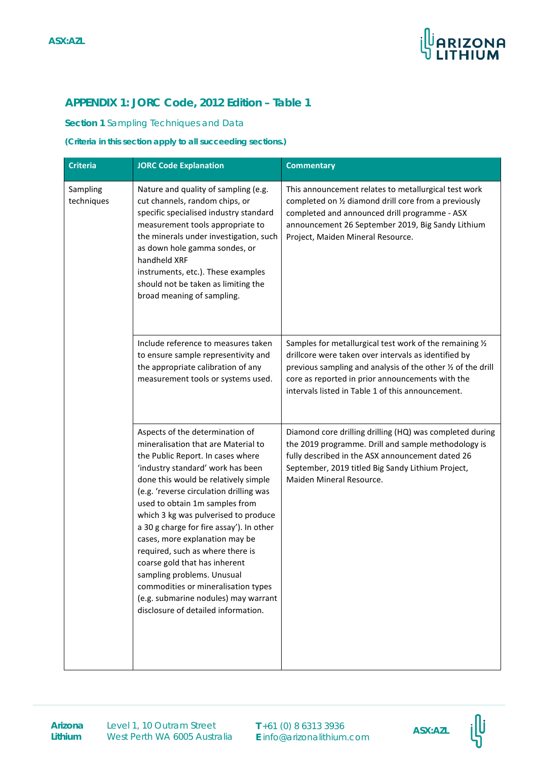

# **APPENDIX 1: JORC Code, 2012 Edition – Table 1**

#### **Section 1** Sampling Techniques and Data

#### **(Criteria in this section apply to all succeeding sections.)**

| <b>Criteria</b>                                                                                                                                                                                                                                                                                                                                                                                                                                                                                                                                                                                                                                                                                                                                                                | <b>JORC Code Explanation</b>                                                                                                                                                                                                                         | <b>Commentary</b>                                                                                                                                                                                                                                                                         |
|--------------------------------------------------------------------------------------------------------------------------------------------------------------------------------------------------------------------------------------------------------------------------------------------------------------------------------------------------------------------------------------------------------------------------------------------------------------------------------------------------------------------------------------------------------------------------------------------------------------------------------------------------------------------------------------------------------------------------------------------------------------------------------|------------------------------------------------------------------------------------------------------------------------------------------------------------------------------------------------------------------------------------------------------|-------------------------------------------------------------------------------------------------------------------------------------------------------------------------------------------------------------------------------------------------------------------------------------------|
| Nature and quality of sampling (e.g.<br>Sampling<br>cut channels, random chips, or<br>techniques<br>specific specialised industry standard<br>measurement tools appropriate to<br>the minerals under investigation, such<br>as down hole gamma sondes, or<br>handheld XRF<br>instruments, etc.). These examples<br>should not be taken as limiting the<br>broad meaning of sampling.                                                                                                                                                                                                                                                                                                                                                                                           |                                                                                                                                                                                                                                                      | This announcement relates to metallurgical test work<br>completed on 1/2 diamond drill core from a previously<br>completed and announced drill programme - ASX<br>announcement 26 September 2019, Big Sandy Lithium<br>Project, Maiden Mineral Resource.                                  |
| Include reference to measures taken<br>to ensure sample representivity and<br>the appropriate calibration of any<br>measurement tools or systems used.<br>Aspects of the determination of<br>mineralisation that are Material to<br>the Public Report. In cases where<br>'industry standard' work has been<br>done this would be relatively simple<br>(e.g. 'reverse circulation drilling was<br>used to obtain 1m samples from<br>which 3 kg was pulverised to produce<br>a 30 g charge for fire assay'). In other<br>cases, more explanation may be<br>required, such as where there is<br>coarse gold that has inherent<br>sampling problems. Unusual<br>commodities or mineralisation types<br>(e.g. submarine nodules) may warrant<br>disclosure of detailed information. |                                                                                                                                                                                                                                                      | Samples for metallurgical test work of the remaining 1/2<br>drillcore were taken over intervals as identified by<br>previous sampling and analysis of the other 1/2 of the drill<br>core as reported in prior announcements with the<br>intervals listed in Table 1 of this announcement. |
|                                                                                                                                                                                                                                                                                                                                                                                                                                                                                                                                                                                                                                                                                                                                                                                | Diamond core drilling drilling (HQ) was completed during<br>the 2019 programme. Drill and sample methodology is<br>fully described in the ASX announcement dated 26<br>September, 2019 titled Big Sandy Lithium Project,<br>Maiden Mineral Resource. |                                                                                                                                                                                                                                                                                           |

**Arizona** Level 1, 10 Outram Street **T** +61 (0) 8 6313 3936 **ASX:AZL**<br> **ASX:AZL** West Perth WA 6005 Australia

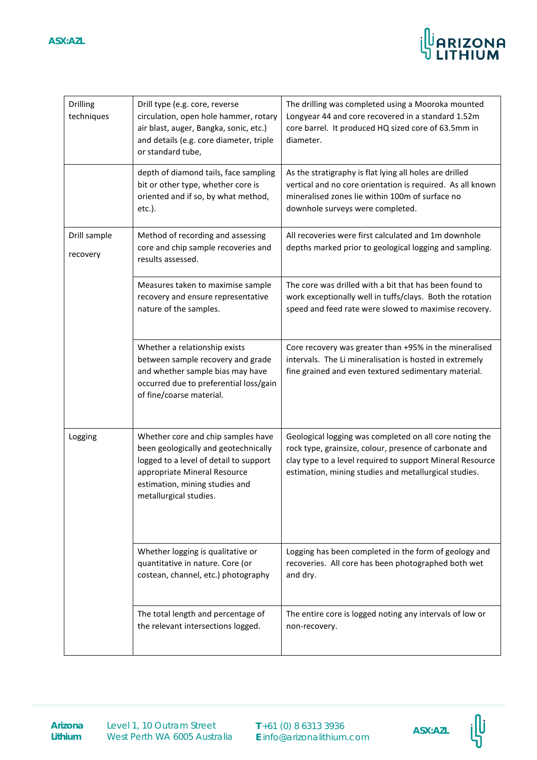

| <b>Drilling</b><br>techniques | Drill type (e.g. core, reverse<br>circulation, open hole hammer, rotary<br>air blast, auger, Bangka, sonic, etc.)<br>and details (e.g. core diameter, triple<br>or standard tube,                                | The drilling was completed using a Mooroka mounted<br>Longyear 44 and core recovered in a standard 1.52m<br>core barrel. It produced HQ sized core of 63.5mm in<br>diameter.                                                             |
|-------------------------------|------------------------------------------------------------------------------------------------------------------------------------------------------------------------------------------------------------------|------------------------------------------------------------------------------------------------------------------------------------------------------------------------------------------------------------------------------------------|
|                               | depth of diamond tails, face sampling<br>bit or other type, whether core is<br>oriented and if so, by what method,<br>$etc.$ ).                                                                                  | As the stratigraphy is flat lying all holes are drilled<br>vertical and no core orientation is required. As all known<br>mineralised zones lie within 100m of surface no<br>downhole surveys were completed.                             |
| Drill sample<br>recovery      | Method of recording and assessing<br>core and chip sample recoveries and<br>results assessed.                                                                                                                    | All recoveries were first calculated and 1m downhole<br>depths marked prior to geological logging and sampling.                                                                                                                          |
|                               | Measures taken to maximise sample<br>recovery and ensure representative<br>nature of the samples.                                                                                                                | The core was drilled with a bit that has been found to<br>work exceptionally well in tuffs/clays. Both the rotation<br>speed and feed rate were slowed to maximise recovery.                                                             |
|                               | Whether a relationship exists<br>between sample recovery and grade<br>and whether sample bias may have<br>occurred due to preferential loss/gain<br>of fine/coarse material.                                     | Core recovery was greater than +95% in the mineralised<br>intervals. The Li mineralisation is hosted in extremely<br>fine grained and even textured sedimentary material.                                                                |
| Logging                       | Whether core and chip samples have<br>been geologically and geotechnically<br>logged to a level of detail to support<br>appropriate Mineral Resource<br>estimation, mining studies and<br>metallurgical studies. | Geological logging was completed on all core noting the<br>rock type, grainsize, colour, presence of carbonate and<br>clay type to a level required to support Mineral Resource<br>estimation, mining studies and metallurgical studies. |
|                               | Whether logging is qualitative or<br>quantitative in nature. Core (or<br>costean, channel, etc.) photography                                                                                                     | Logging has been completed in the form of geology and<br>recoveries. All core has been photographed both wet<br>and dry.                                                                                                                 |
|                               | The total length and percentage of<br>the relevant intersections logged.                                                                                                                                         | The entire core is logged noting any intervals of low or<br>non-recovery.                                                                                                                                                                |

**Lithium**

**Arizona** Level 1, 10 Outram Street **T** +61 (0) 8 6313 3936 **ASX:AZL**<br>Lithium West Perth WA 6005 Australia **E** info@arizonalithium.com Level 1, 10 Outram Street West Perth WA 6005 Australia

**T** +61 (0) 8 6313 3936

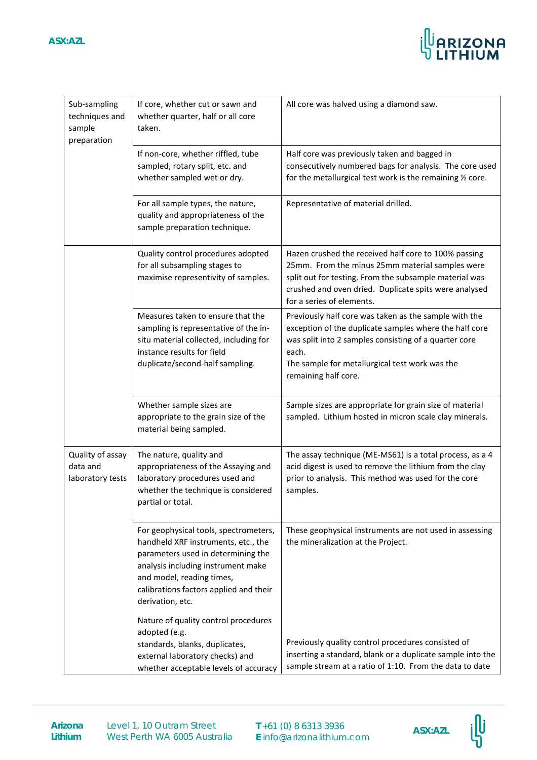

| Sub-sampling<br>techniques and<br>sample<br>preparation | If core, whether cut or sawn and<br>whether quarter, half or all core<br>taken.                                                                                                                                                                     | All core was halved using a diamond saw.                                                                                                                                                                                                                    |
|---------------------------------------------------------|-----------------------------------------------------------------------------------------------------------------------------------------------------------------------------------------------------------------------------------------------------|-------------------------------------------------------------------------------------------------------------------------------------------------------------------------------------------------------------------------------------------------------------|
|                                                         | If non-core, whether riffled, tube<br>sampled, rotary split, etc. and<br>whether sampled wet or dry.                                                                                                                                                | Half core was previously taken and bagged in<br>consecutively numbered bags for analysis. The core used<br>for the metallurgical test work is the remaining 1/2 core.                                                                                       |
|                                                         | For all sample types, the nature,<br>quality and appropriateness of the<br>sample preparation technique.                                                                                                                                            | Representative of material drilled.                                                                                                                                                                                                                         |
|                                                         | Quality control procedures adopted<br>for all subsampling stages to<br>maximise representivity of samples.                                                                                                                                          | Hazen crushed the received half core to 100% passing<br>25mm. From the minus 25mm material samples were<br>split out for testing. From the subsample material was<br>crushed and oven dried. Duplicate spits were analysed<br>for a series of elements.     |
|                                                         | Measures taken to ensure that the<br>sampling is representative of the in-<br>situ material collected, including for<br>instance results for field<br>duplicate/second-half sampling.                                                               | Previously half core was taken as the sample with the<br>exception of the duplicate samples where the half core<br>was split into 2 samples consisting of a quarter core<br>each.<br>The sample for metallurgical test work was the<br>remaining half core. |
|                                                         | Whether sample sizes are<br>appropriate to the grain size of the<br>material being sampled.                                                                                                                                                         | Sample sizes are appropriate for grain size of material<br>sampled. Lithium hosted in micron scale clay minerals.                                                                                                                                           |
| Quality of assay<br>data and<br>laboratory tests        | The nature, quality and<br>appropriateness of the Assaying and<br>laboratory procedures used and<br>whether the technique is considered<br>partial or total.                                                                                        | The assay technique (ME-MS61) is a total process, as a 4<br>acid digest is used to remove the lithium from the clay<br>prior to analysis. This method was used for the core<br>samples.                                                                     |
|                                                         | For geophysical tools, spectrometers,<br>handheld XRF instruments, etc., the<br>parameters used in determining the<br>analysis including instrument make<br>and model, reading times,<br>calibrations factors applied and their<br>derivation, etc. | These geophysical instruments are not used in assessing<br>the mineralization at the Project.                                                                                                                                                               |
|                                                         | Nature of quality control procedures<br>adopted (e.g.<br>standards, blanks, duplicates,<br>external laboratory checks) and<br>whether acceptable levels of accuracy                                                                                 | Previously quality control procedures consisted of<br>inserting a standard, blank or a duplicate sample into the<br>sample stream at a ratio of 1:10. From the data to date                                                                                 |

**Arizona** Level 1, 10 Outram Street **T** +61 (0) 8 6313 3936 **ASX:AZL**<br>Lithium West Perth WA 6005 Australia **E** info@arizonalithium.com Level 1, 10 Outram Street West Perth WA 6005 Australia

**T** +61 (0) 8 6313 3936

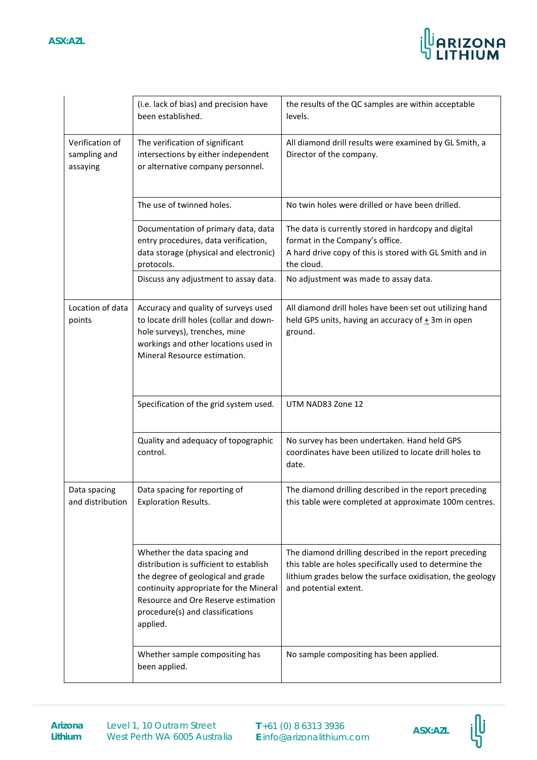

|                                             | (i.e. lack of bias) and precision have<br>been established.                                                                                                                                                                                    | the results of the QC samples are within acceptable<br>levels.                                                                                                                                          |
|---------------------------------------------|------------------------------------------------------------------------------------------------------------------------------------------------------------------------------------------------------------------------------------------------|---------------------------------------------------------------------------------------------------------------------------------------------------------------------------------------------------------|
| Verification of<br>sampling and<br>assaying | The verification of significant<br>intersections by either independent<br>or alternative company personnel.                                                                                                                                    | All diamond drill results were examined by GL Smith, a<br>Director of the company.                                                                                                                      |
|                                             | The use of twinned holes.                                                                                                                                                                                                                      | No twin holes were drilled or have been drilled.                                                                                                                                                        |
|                                             | Documentation of primary data, data<br>entry procedures, data verification,<br>data storage (physical and electronic)<br>protocols.                                                                                                            | The data is currently stored in hardcopy and digital<br>format in the Company's office.<br>A hard drive copy of this is stored with GL Smith and in<br>the cloud.                                       |
|                                             | Discuss any adjustment to assay data.                                                                                                                                                                                                          | No adjustment was made to assay data.                                                                                                                                                                   |
| Location of data<br>points                  | Accuracy and quality of surveys used<br>to locate drill holes (collar and down-<br>hole surveys), trenches, mine<br>workings and other locations used in<br>Mineral Resource estimation.                                                       | All diamond drill holes have been set out utilizing hand<br>held GPS units, having an accuracy of $\pm$ 3m in open<br>ground.                                                                           |
|                                             | Specification of the grid system used.                                                                                                                                                                                                         | UTM NAD83 Zone 12                                                                                                                                                                                       |
|                                             | Quality and adequacy of topographic<br>control.                                                                                                                                                                                                | No survey has been undertaken. Hand held GPS<br>coordinates have been utilized to locate drill holes to<br>date.                                                                                        |
| Data spacing<br>and distribution            | Data spacing for reporting of<br><b>Exploration Results.</b>                                                                                                                                                                                   | The diamond drilling described in the report preceding<br>this table were completed at approximate 100m centres.                                                                                        |
|                                             | Whether the data spacing and<br>distribution is sufficient to establish<br>the degree of geological and grade<br>continuity appropriate for the Mineral<br>Resource and Ore Reserve estimation<br>procedure(s) and classifications<br>applied. | The diamond drilling described in the report preceding<br>this table are holes specifically used to determine the<br>lithium grades below the surface oxidisation, the geology<br>and potential extent. |
|                                             | Whether sample compositing has<br>been applied.                                                                                                                                                                                                | No sample compositing has been applied.                                                                                                                                                                 |

**Arizona** Level 1, 10 Outram Street **T** +61 (0) 8 6313 3936 **ASX:AZL**<br> **ASX:AZL** West Perth WA 6005 Australia

**T** +61 (0) 8 6313 3936 **E** info@arizonalithium.com

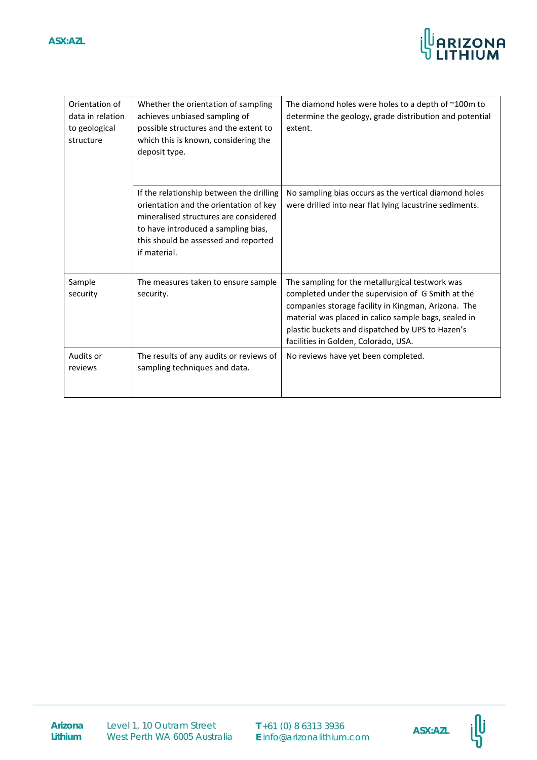

| Orientation of<br>data in relation<br>to geological<br>structure | Whether the orientation of sampling<br>achieves unbiased sampling of<br>possible structures and the extent to<br>which this is known, considering the<br>deposit type.                                                     | The diamond holes were holes to a depth of ~100m to<br>determine the geology, grade distribution and potential<br>extent.                                                                                                                                                                                       |
|------------------------------------------------------------------|----------------------------------------------------------------------------------------------------------------------------------------------------------------------------------------------------------------------------|-----------------------------------------------------------------------------------------------------------------------------------------------------------------------------------------------------------------------------------------------------------------------------------------------------------------|
|                                                                  | If the relationship between the drilling<br>orientation and the orientation of key<br>mineralised structures are considered<br>to have introduced a sampling bias,<br>this should be assessed and reported<br>if material. | No sampling bias occurs as the vertical diamond holes<br>were drilled into near flat lying lacustrine sediments.                                                                                                                                                                                                |
| Sample<br>security                                               | The measures taken to ensure sample<br>security.                                                                                                                                                                           | The sampling for the metallurgical testwork was<br>completed under the supervision of G Smith at the<br>companies storage facility in Kingman, Arizona. The<br>material was placed in calico sample bags, sealed in<br>plastic buckets and dispatched by UPS to Hazen's<br>facilities in Golden, Colorado, USA. |
| Audits or<br>reviews                                             | The results of any audits or reviews of<br>sampling techniques and data.                                                                                                                                                   | No reviews have yet been completed.                                                                                                                                                                                                                                                                             |

**Lithium**

**Arizona** Level 1, 10 Outram Street **T** +61 (0) 8 6313 3936 **ASX:AZL**<br>Lithium West Perth WA 6005 Australia **E** info@arizonalithium.com Level 1, 10 Outram Street West Perth WA 6005 Australia

**T** +61 (0) 8 6313 3936



illi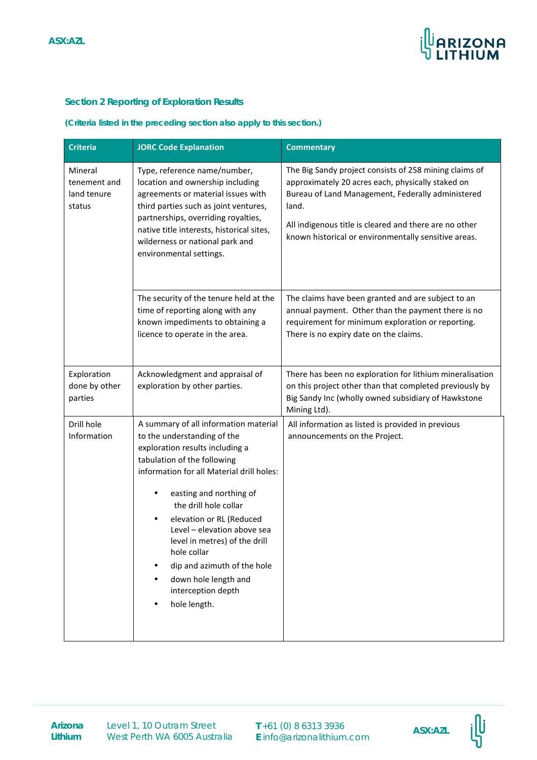

# **Section 2 Reporting of Exploration Results**

#### **(Criteria listed in the preceding section also apply to this section.)**

| <b>Criteria</b>                                  | <b>JORC Code Explanation</b>                                                                                                                                                                                                                                                                                                                                                                                                                    | <b>Commentary</b>                                                                                                                                                                                                                                                                           |
|--------------------------------------------------|-------------------------------------------------------------------------------------------------------------------------------------------------------------------------------------------------------------------------------------------------------------------------------------------------------------------------------------------------------------------------------------------------------------------------------------------------|---------------------------------------------------------------------------------------------------------------------------------------------------------------------------------------------------------------------------------------------------------------------------------------------|
| Mineral<br>tenement and<br>land tenure<br>status | Type, reference name/number,<br>location and ownership including<br>agreements or material issues with<br>third parties such as joint ventures,<br>partnerships, overriding royalties,<br>native title interests, historical sites,<br>wilderness or national park and<br>environmental settings.                                                                                                                                               | The Big Sandy project consists of 258 mining claims of<br>approximately 20 acres each, physically staked on<br>Bureau of Land Management, Federally administered<br>land.<br>All indigenous title is cleared and there are no other<br>known historical or environmentally sensitive areas. |
|                                                  | The security of the tenure held at the<br>time of reporting along with any<br>known impediments to obtaining a<br>licence to operate in the area.                                                                                                                                                                                                                                                                                               | The claims have been granted and are subject to an<br>annual payment. Other than the payment there is no<br>requirement for minimum exploration or reporting.<br>There is no expiry date on the claims.                                                                                     |
| Exploration<br>done by other<br>parties          | Acknowledgment and appraisal of<br>exploration by other parties.                                                                                                                                                                                                                                                                                                                                                                                | There has been no exploration for lithium mineralisation<br>on this project other than that completed previously by<br>Big Sandy Inc (wholly owned subsidiary of Hawkstone<br>Mining Ltd).                                                                                                  |
| Drill hole<br>Information                        | A summary of all information material<br>to the understanding of the<br>exploration results including a<br>tabulation of the following<br>information for all Material drill holes:<br>easting and northing of<br>the drill hole collar<br>elevation or RL (Reduced<br>Level - elevation above sea<br>level in metres) of the drill<br>hole collar<br>dip and azimuth of the hole<br>down hole length and<br>interception depth<br>hole length. | All information as listed is provided in previous<br>announcements on the Project.                                                                                                                                                                                                          |

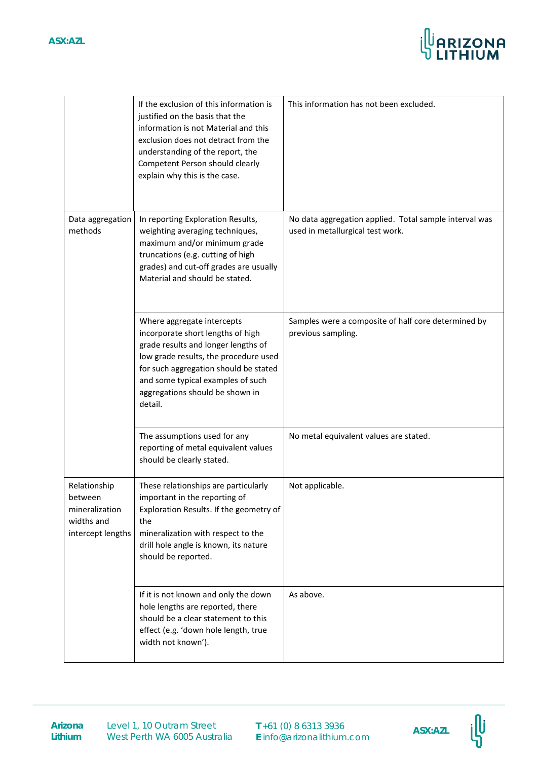# **ASX:AZL**



|                                                                              | If the exclusion of this information is<br>justified on the basis that the<br>information is not Material and this<br>exclusion does not detract from the<br>understanding of the report, the<br>Competent Person should clearly<br>explain why this is the case.           | This information has not been excluded.                                                    |
|------------------------------------------------------------------------------|-----------------------------------------------------------------------------------------------------------------------------------------------------------------------------------------------------------------------------------------------------------------------------|--------------------------------------------------------------------------------------------|
| Data aggregation<br>methods                                                  | In reporting Exploration Results,<br>weighting averaging techniques,<br>maximum and/or minimum grade<br>truncations (e.g. cutting of high<br>grades) and cut-off grades are usually<br>Material and should be stated.                                                       | No data aggregation applied. Total sample interval was<br>used in metallurgical test work. |
|                                                                              | Where aggregate intercepts<br>incorporate short lengths of high<br>grade results and longer lengths of<br>low grade results, the procedure used<br>for such aggregation should be stated<br>and some typical examples of such<br>aggregations should be shown in<br>detail. | Samples were a composite of half core determined by<br>previous sampling.                  |
|                                                                              | The assumptions used for any<br>reporting of metal equivalent values<br>should be clearly stated.                                                                                                                                                                           | No metal equivalent values are stated.                                                     |
| Relationship<br>hetween<br>mineralization<br>widths and<br>intercept lengths | These relationships are particularly<br>important in the reporting of<br>Exploration Results. If the geometry of<br>the<br>mineralization with respect to the<br>drill hole angle is known, its nature<br>should be reported.                                               | Not applicable.                                                                            |
|                                                                              | If it is not known and only the down<br>hole lengths are reported, there<br>should be a clear statement to this<br>effect (e.g. 'down hole length, true<br>width not known').                                                                                               | As above.                                                                                  |

**Lithium**

**Arizona** Level 1, 10 Outram Street **T** +61 (0) 8 6313 3936 **ASX:AZL**<br>Lithium West Perth WA 6005 Australia **E** info@arizonalithium.com Level 1, 10 Outram Street West Perth WA 6005 Australia

**T** +61 (0) 8 6313 3936